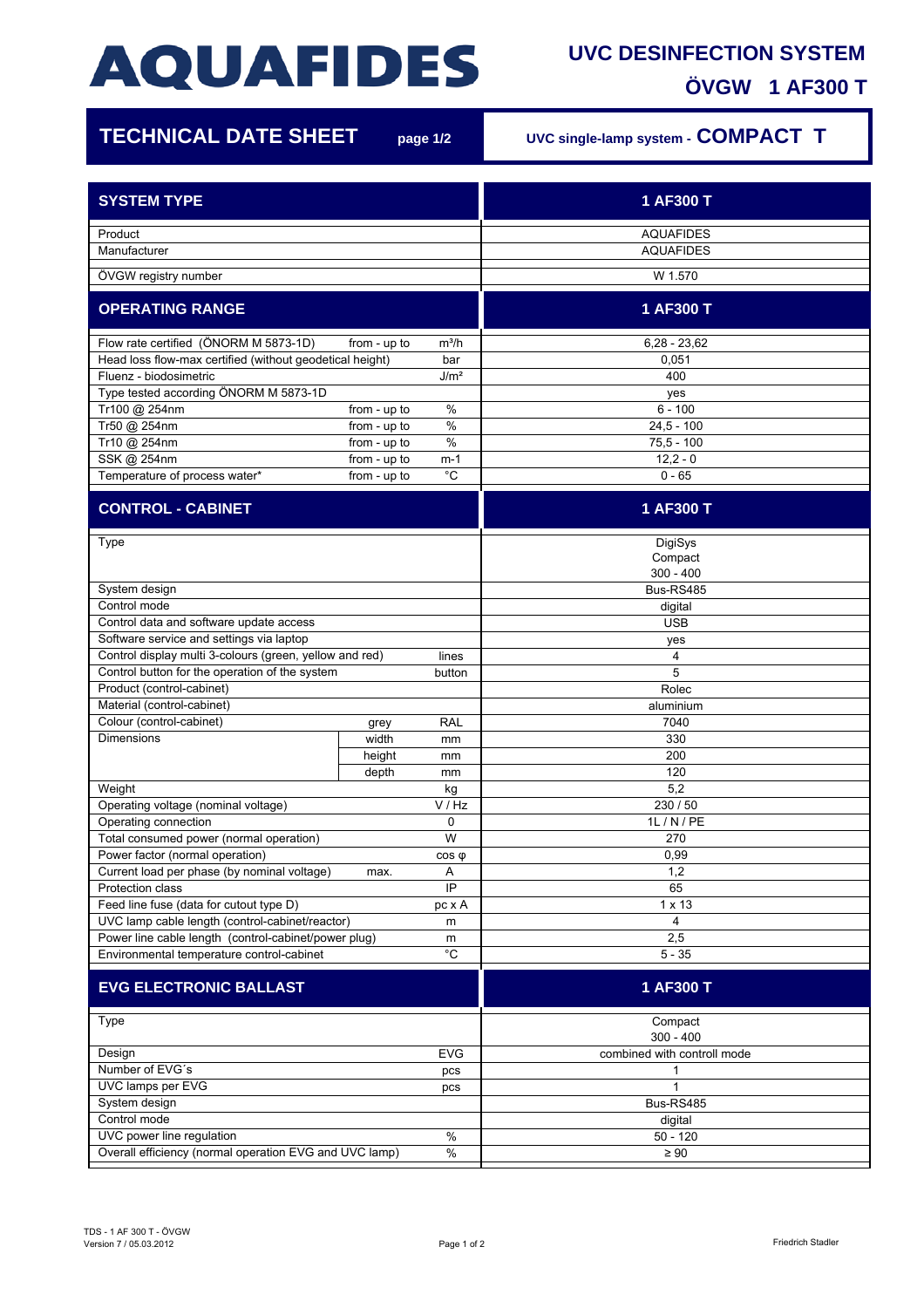## **AQUAFIDES**

## **UVC DESINFECTION SYSTEM ÖVGW 1 AF300 T**

7

| <b>TECHNICAL DATE SHEET</b>                                      |              | page 1/2         | UVC single-lamp system - COMPACT T |
|------------------------------------------------------------------|--------------|------------------|------------------------------------|
| <b>SYSTEM TYPE</b>                                               |              |                  | 1 AF300 T                          |
|                                                                  |              |                  | <b>AQUAFIDES</b>                   |
| Product<br>Manufacturer                                          |              |                  | <b>AQUAFIDES</b>                   |
| ÖVGW registry number                                             |              |                  | W 1.570                            |
| <b>OPERATING RANGE</b>                                           |              |                  | 1 AF300 T                          |
|                                                                  |              |                  | $6,28 - 23,62$                     |
| Flow rate certified (ÖNORM M 5873-1D)<br>from - up to<br>$m^3/h$ |              |                  | 0,051                              |
| Head loss flow-max certified (without geodetical height)<br>bar  |              |                  | 400                                |
| Fluenz - biodosimetric<br>Type tested according ÖNORM M 5873-1D  |              | J/m <sup>2</sup> |                                    |
|                                                                  |              | %                | yes                                |
| Tr100 @ 254nm                                                    | from - up to | %                | $6 - 100$<br>$24.5 - 100$          |
| Tr50 @ 254nm                                                     | from - up to |                  |                                    |
| Tr10 @ 254nm                                                     | from - up to | $\%$             | $75.5 - 100$                       |
| SSK @ 254nm                                                      | from - up to | m-1              | $12,2 - 0$                         |
| Temperature of process water*                                    | from - up to | $^{\circ}C$      | $0 - 65$                           |
| <b>CONTROL - CABINET</b>                                         |              |                  | 1 AF300 T                          |
| Type                                                             |              |                  | DigiSys                            |
|                                                                  |              |                  | Compact                            |
|                                                                  |              |                  | $300 - 400$                        |
| System design                                                    |              |                  | Bus-RS485                          |
| Control mode                                                     |              |                  | digital                            |
| Control data and software update access                          |              |                  | <b>USB</b>                         |
| Software service and settings via laptop                         |              |                  | yes                                |
| Control display multi 3-colours (green, yellow and red)          |              | lines            | 4                                  |
| Control button for the operation of the system                   |              | button           | 5                                  |
| Product (control-cabinet)                                        |              |                  | Rolec                              |
| Material (control-cabinet)                                       |              |                  | aluminium                          |
| Colour (control-cabinet)                                         | grey         | <b>RAL</b>       | 7040                               |
| <b>Dimensions</b>                                                | width        | mm               | 330                                |
|                                                                  | height       | mm               | 200                                |
|                                                                  | depth        | mm               | 120                                |
| Weight<br>kg                                                     |              | 5,2              |                                    |
| Operating voltage (nominal voltage)                              | V / Hz       |                  | 230 / 50                           |
| Operating connection                                             |              | 0                | 1L / N / PE                        |
| Total consumed power (normal operation)                          |              | W                | 270                                |
| Power factor (normal operation)                                  |              | $cos \phi$       | 0,99                               |
| Current load per phase (by nominal voltage)<br>max.<br>Α         |              | 1,2              |                                    |
| Protection class<br>IP                                           |              | 65               |                                    |
| Feed line fuse (data for cutout type D)<br>pc x A                |              | $1 \times 13$    |                                    |
| UVC lamp cable length (control-cabinet/reactor)<br>m             |              |                  | 4                                  |
| Power line cable length (control-cabinet/power plug)<br>m        |              |                  | 2,5                                |
| $^{\circ}{\rm C}$<br>Environmental temperature control-cabinet   |              |                  | $5 - 35$                           |
| <b>EVG ELECTRONIC BALLAST</b>                                    |              |                  | 1 AF300 T                          |
| Type                                                             |              |                  | Compact                            |
|                                                                  |              |                  | $300 - 400$                        |
| Design<br><b>EVG</b>                                             |              |                  | combined with controll mode        |
| Number of EVG's<br>pcs                                           |              |                  | 1                                  |
| UVC lamps per EVG<br>pcs                                         |              |                  | 1                                  |
| System design                                                    |              |                  | Bus-RS485                          |
| Control mode                                                     |              |                  | digital                            |
| $\%$<br>UVC power line regulation                                |              |                  | 50 - 120                           |
| $\%$<br>Overall efficiency (normal operation EVG and UVC lamp)   |              |                  | $\geq 90$                          |
|                                                                  |              |                  |                                    |